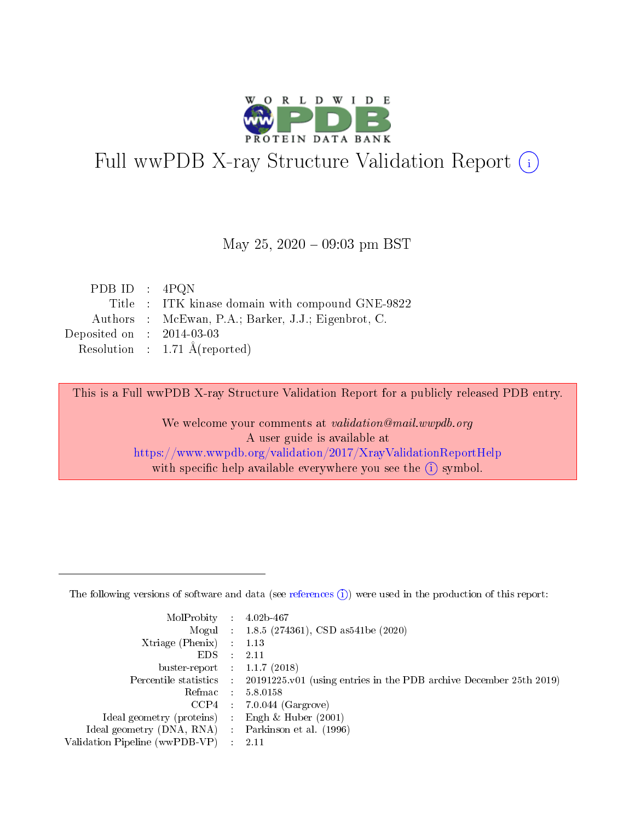

# Full wwPDB X-ray Structure Validation Report (i)

#### May 25,  $2020 - 09:03$  pm BST

| PDB ID : $4PQN$                                     |
|-----------------------------------------------------|
| Title : ITK kinase domain with compound GNE-9822    |
| Authors : McEwan, P.A.; Barker, J.J.; Eigenbrot, C. |
| Deposited on : $2014-03-03$                         |
| Resolution : $1.71 \text{ Å}$ (reported)            |
|                                                     |

This is a Full wwPDB X-ray Structure Validation Report for a publicly released PDB entry.

We welcome your comments at validation@mail.wwpdb.org A user guide is available at <https://www.wwpdb.org/validation/2017/XrayValidationReportHelp> with specific help available everywhere you see the  $(i)$  symbol.

The following versions of software and data (see [references](https://www.wwpdb.org/validation/2017/XrayValidationReportHelp#references)  $(1)$ ) were used in the production of this report:

| MolProbity :                   |               | $4.02b - 467$                                                               |
|--------------------------------|---------------|-----------------------------------------------------------------------------|
|                                |               | Mogul : $1.8.5$ (274361), CSD as 541be (2020)                               |
| $X$ triage (Phenix) :          |               | 1.13                                                                        |
| EDS.                           |               | 2.11                                                                        |
| buster-report : $1.1.7$ (2018) |               |                                                                             |
| Percentile statistics :        |               | $20191225 \text{v}01$ (using entries in the PDB archive December 25th 2019) |
| Refmac :                       |               | 5.8.0158                                                                    |
| $CCP4$ :                       |               | $7.0.044$ (Gargrove)                                                        |
| Ideal geometry (proteins) :    |               | Engh $\&$ Huber (2001)                                                      |
| Ideal geometry (DNA, RNA) :    |               | Parkinson et al. (1996)                                                     |
| Validation Pipeline (wwPDB-VP) | $\mathcal{L}$ | 2.11                                                                        |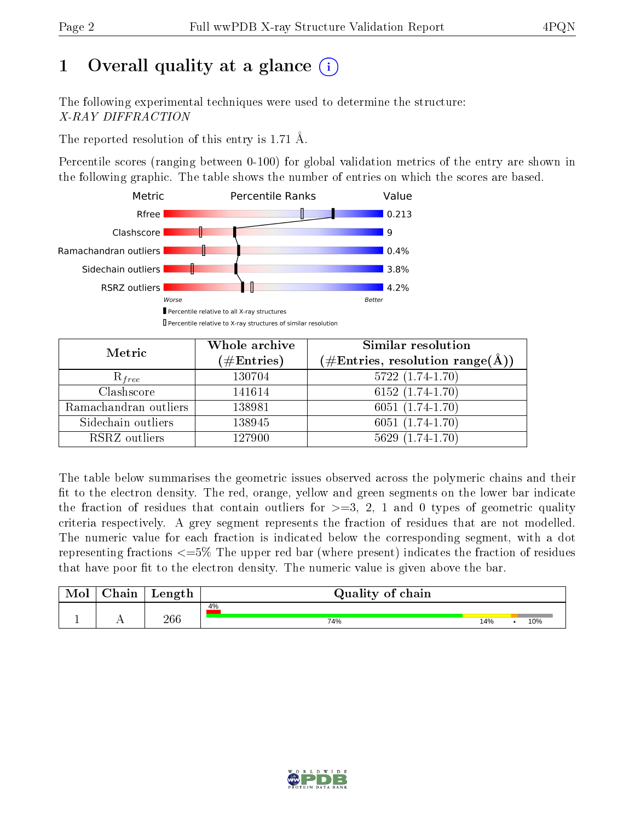# 1 [O](https://www.wwpdb.org/validation/2017/XrayValidationReportHelp#overall_quality)verall quality at a glance  $(i)$

The following experimental techniques were used to determine the structure: X-RAY DIFFRACTION

The reported resolution of this entry is 1.71 Å.

Percentile scores (ranging between 0-100) for global validation metrics of the entry are shown in the following graphic. The table shows the number of entries on which the scores are based.



| Metric                | Whole archive<br>$(\#\text{Entries})$ | Similar resolution<br>(#Entries, resolution range( $\AA$ )) |
|-----------------------|---------------------------------------|-------------------------------------------------------------|
| $R_{free}$            | 130704                                | $5722(1.74-1.70)$                                           |
| Clashscore            | 141614                                | $6152(1.74-1.70)$                                           |
| Ramachandran outliers | 138981                                | $6051(1.74-1.70)$                                           |
| Sidechain outliers    | 138945                                | $6051(1.74-1.70)$                                           |
| RSRZ outliers         | 127900                                | $5629(1.74-1.70)$                                           |

The table below summarises the geometric issues observed across the polymeric chains and their fit to the electron density. The red, orange, yellow and green segments on the lower bar indicate the fraction of residues that contain outliers for  $>=3, 2, 1$  and 0 types of geometric quality criteria respectively. A grey segment represents the fraction of residues that are not modelled. The numeric value for each fraction is indicated below the corresponding segment, with a dot representing fractions  $\epsilon=5\%$  The upper red bar (where present) indicates the fraction of residues that have poor fit to the electron density. The numeric value is given above the bar.

| Mol       | nin<br>паш | Length | Quality of chain |     |     |
|-----------|------------|--------|------------------|-----|-----|
|           |            |        | 4%               |     |     |
| <u>д.</u> | . .        | 266    | 74%              | 14% | 10% |

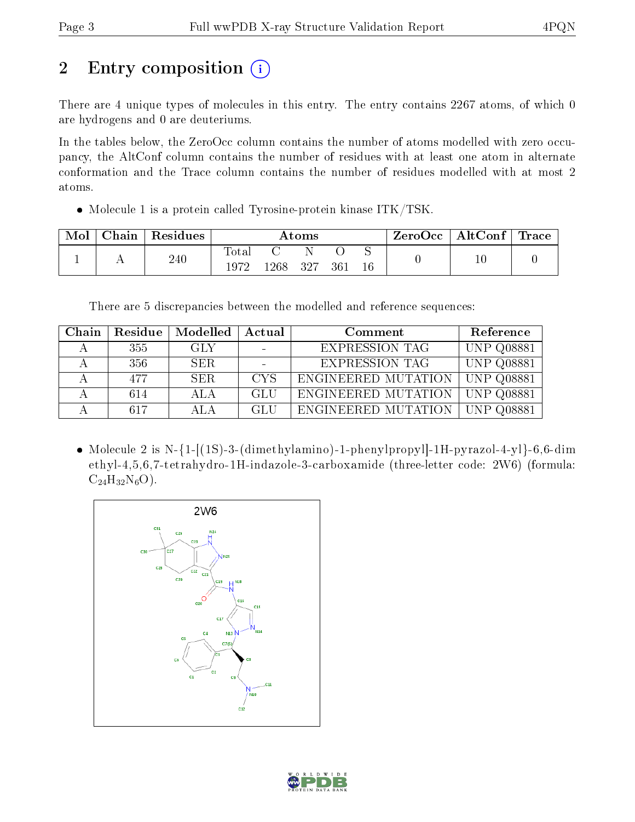# 2 Entry composition (i)

There are 4 unique types of molecules in this entry. The entry contains 2267 atoms, of which 0 are hydrogens and 0 are deuteriums.

In the tables below, the ZeroOcc column contains the number of atoms modelled with zero occupancy, the AltConf column contains the number of residues with at least one atom in alternate conformation and the Trace column contains the number of residues modelled with at most 2 atoms.

• Molecule 1 is a protein called Tyrosine-protein kinase ITK/TSK.

| Mol | Chain | Residues | $\rm{Atoms}$  |      |     |     | ZeroOcc | $\mid$ AltConf $\mid$ Trace |        |  |
|-----|-------|----------|---------------|------|-----|-----|---------|-----------------------------|--------|--|
|     |       | 240      | Totar<br>1972 | 1268 | 327 | 361 | 16      |                             | $10\,$ |  |

There are 5 discrepancies between the modelled and reference sequences:

| Chain | Residue | Modelled | Actual     | Comment               | Reference                   |
|-------|---------|----------|------------|-----------------------|-----------------------------|
|       | 355     | GLY      |            | <b>EXPRESSION TAG</b> | <b>UNP Q08881</b>           |
|       | 356     | SER.     |            | <b>EXPRESSION TAG</b> | <b>UNP Q08881</b>           |
|       | 477     | SER.     | <b>CYS</b> | ENGINEERED MUTATION   | UNP Q08881                  |
|       | 614     | ALA.     | GLU        | ENGINEERED MUTATION   | <b>UNP Q08881</b>           |
|       | 617     | A L A    | <b>GLU</b> | ENGINEERED MUTATION   | $\overline{\rm UNP}$ Q08881 |

• Molecule 2 is N- $\{1-|(1S)-3-$ (dimethylamino)-1-phenylpropyl|-1H-pyrazol-4-yl $\}$ -6,6-dim ethyl-4,5,6,7-tetrahydro-1H-indazole-3-carboxamide (three-letter code: 2W6) (formula:  $C_{24}H_{32}N_6O$ ).



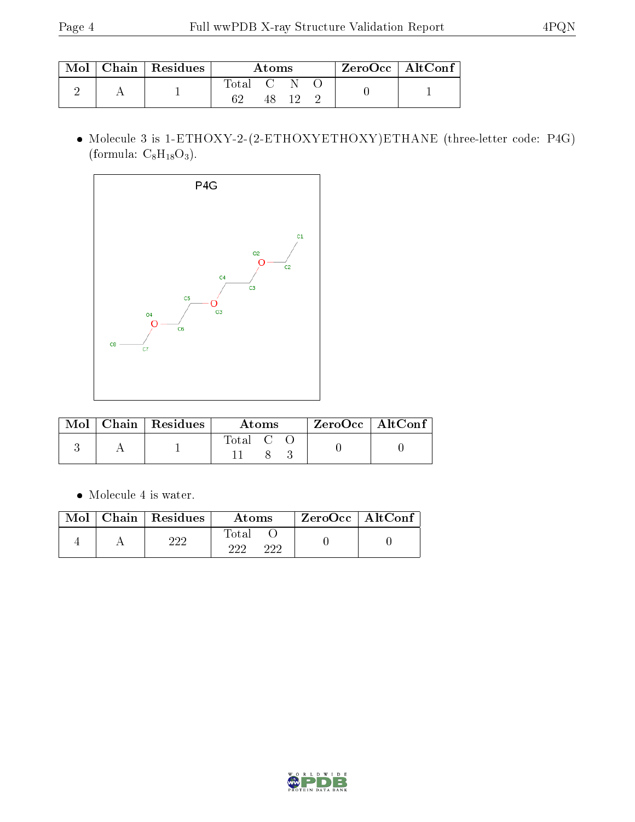|  | $\pm$ Mol $\pm$ Chain $\pm$ Residues $^+$ | Atoms     |  |  |  | $ZeroOcc \   \$ AltConf |
|--|-------------------------------------------|-----------|--|--|--|-------------------------|
|  |                                           | Total C N |  |  |  |                         |
|  |                                           |           |  |  |  |                         |

 Molecule 3 is 1-ETHOXY-2-(2-ETHOXYETHOXY)ETHANE (three-letter code: P4G) (formula:  $C_8H_{18}O_3$ ).



|  | $\text{Mol}$   Chain   Residues | Atoms     |  |  | $ZeroOcc \mid AltConf$ |  |
|--|---------------------------------|-----------|--|--|------------------------|--|
|  |                                 | Total C C |  |  |                        |  |

 $\bullet\,$  Molecule 4 is water.

| Mol | Chain   Residues | Atoms               | ZeroOcc   AltConf |  |
|-----|------------------|---------------------|-------------------|--|
|     | റററ              | Total<br>റററ<br>າາາ |                   |  |

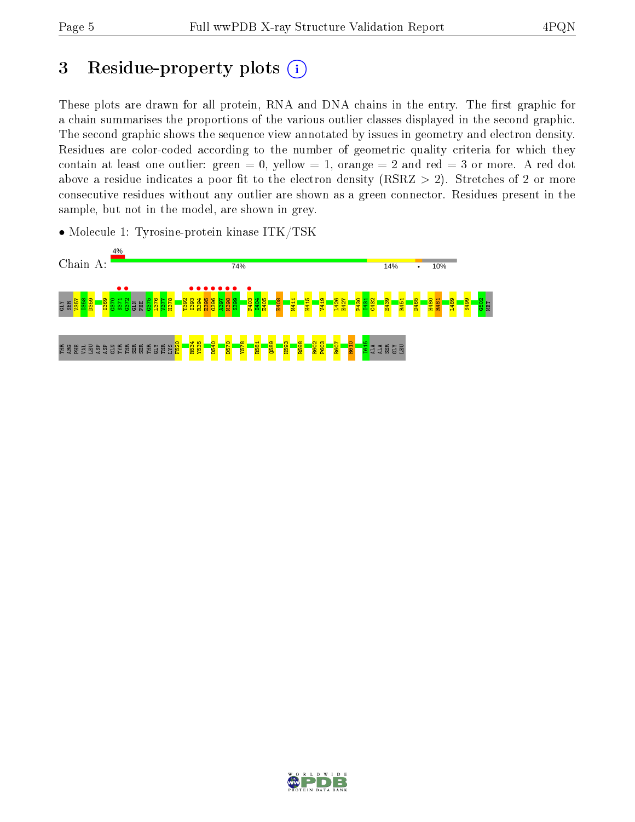# 3 Residue-property plots  $(i)$

These plots are drawn for all protein, RNA and DNA chains in the entry. The first graphic for a chain summarises the proportions of the various outlier classes displayed in the second graphic. The second graphic shows the sequence view annotated by issues in geometry and electron density. Residues are color-coded according to the number of geometric quality criteria for which they contain at least one outlier: green  $= 0$ , yellow  $= 1$ , orange  $= 2$  and red  $= 3$  or more. A red dot above a residue indicates a poor fit to the electron density (RSRZ  $> 2$ ). Stretches of 2 or more consecutive residues without any outlier are shown as a green connector. Residues present in the sample, but not in the model, are shown in grey.

• Molecule 1: Tyrosine-protein kinase ITK/TSK



![](_page_4_Picture_7.jpeg)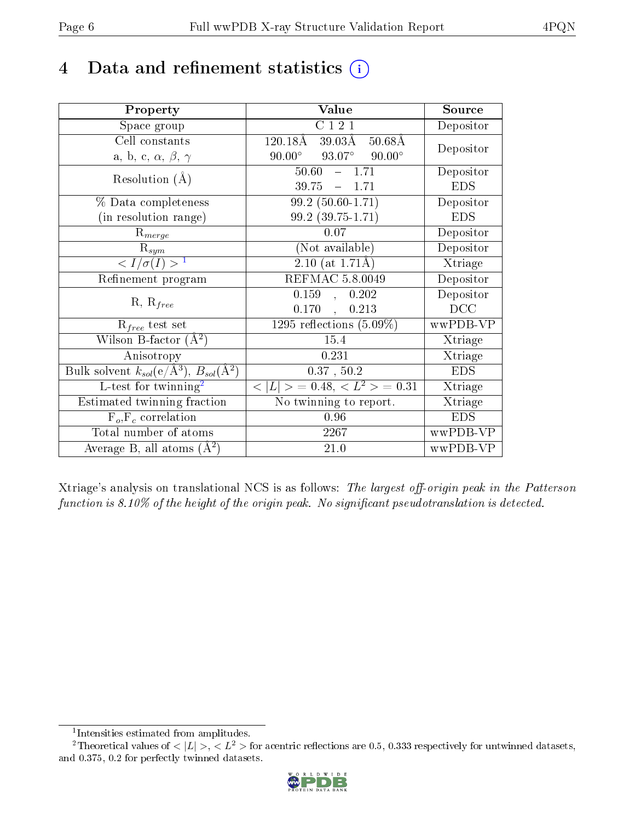## 4 Data and refinement statistics  $(i)$

| Property                                                         | Value                                                        | Source     |
|------------------------------------------------------------------|--------------------------------------------------------------|------------|
| Space group                                                      | C121                                                         | Depositor  |
| Cell constants                                                   | $120.18\text{\AA}$<br>$39.03\text{\AA}$<br>$50.68\text{\AA}$ | Depositor  |
| a, b, c, $\alpha$ , $\beta$ , $\gamma$                           | $93.07^\circ$<br>$90.00^{\circ}$<br>$90.00^{\circ}$          |            |
| Resolution $(A)$                                                 | 50.60<br>$-1.71$                                             | Depositor  |
|                                                                  | 39.75<br>$-1.71$                                             | <b>EDS</b> |
| % Data completeness                                              | $99.2(50.60-1.71)$                                           | Depositor  |
| (in resolution range)                                            | $99.2(39.75-1.71)$                                           | <b>EDS</b> |
| $R_{merge}$                                                      | 0.07                                                         | Depositor  |
| $\mathrm{R}_{sym}$                                               | (Not available)                                              | Depositor  |
| $\langle I/\sigma(I) \rangle^{-1}$                               | $2.10$ (at 1.71Å)                                            | Xtriage    |
| Refinement program                                               | REFMAC 5.8.0049                                              | Depositor  |
| $R, R_{free}$                                                    | 0.159<br>0.202<br>$\mathcal{L}_{\mathcal{A}}$                | Depositor  |
|                                                                  | 0.170,<br>0.213                                              | DCC        |
| $\mathcal{R}_{free}$ test set                                    | $1295$ reflections $(5.09\%)$                                | wwPDB-VP   |
| Wilson B-factor $(A^2)$                                          | 15.4                                                         | Xtriage    |
| Anisotropy                                                       | 0.231                                                        | Xtriage    |
| Bulk solvent $k_{sol}(\text{e}/\text{A}^3), B_{sol}(\text{A}^2)$ | $0.37$ , $50.2$                                              | <b>EDS</b> |
| L-test for $\mathrm{twinning}^2$                                 | $< L >$ = 0.48, $< L^2 >$ = 0.31                             | Xtriage    |
| Estimated twinning fraction                                      | No twinning to report.                                       | Xtriage    |
| $\overline{F_o}, \overline{F_c}$ correlation                     | 0.96                                                         | <b>EDS</b> |
| Total number of atoms                                            | 2267                                                         | wwPDB-VP   |
| Average B, all atoms $(A^2)$                                     | 21.0                                                         | wwPDB-VP   |

Xtriage's analysis on translational NCS is as follows: The largest off-origin peak in the Patterson function is  $8.10\%$  of the height of the origin peak. No significant pseudotranslation is detected.

<sup>&</sup>lt;sup>2</sup>Theoretical values of  $\langle |L| \rangle$ ,  $\langle L^2 \rangle$  for acentric reflections are 0.5, 0.333 respectively for untwinned datasets, and 0.375, 0.2 for perfectly twinned datasets.

![](_page_5_Picture_8.jpeg)

<span id="page-5-1"></span><span id="page-5-0"></span><sup>1</sup> Intensities estimated from amplitudes.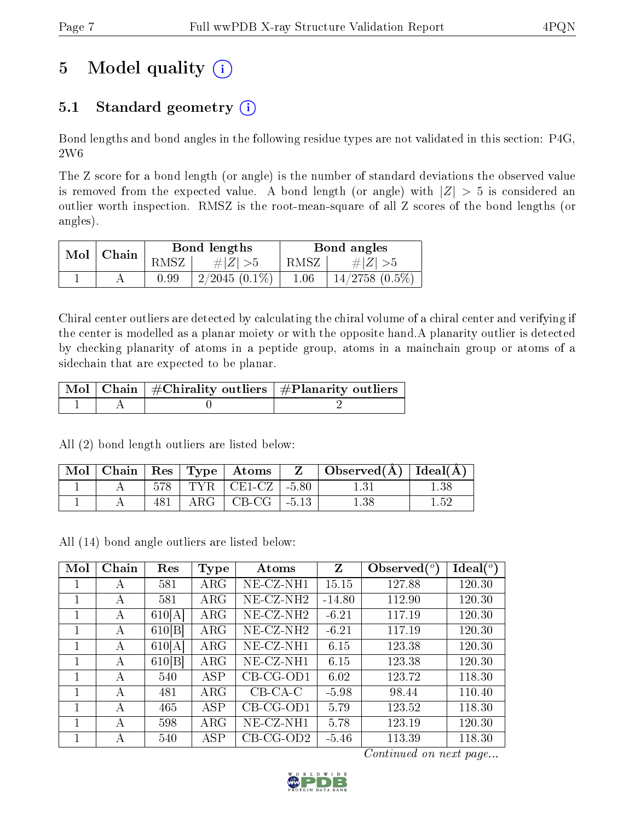# 5 Model quality  $(i)$

## 5.1 Standard geometry  $(i)$

Bond lengths and bond angles in the following residue types are not validated in this section: P4G, 2W6

The Z score for a bond length (or angle) is the number of standard deviations the observed value is removed from the expected value. A bond length (or angle) with  $|Z| > 5$  is considered an outlier worth inspection. RMSZ is the root-mean-square of all Z scores of the bond lengths (or angles).

| Mol | Chain |      | Bond lengths    | Bond angles |                     |  |
|-----|-------|------|-----------------|-------------|---------------------|--|
|     |       | RMSZ | $\# Z  > 5$     | RMSZ        | # $ Z  > 5$         |  |
|     |       | 0.99 | $2/2045(0.1\%)$ | 1.06        | $14/2758$ $(0.5\%)$ |  |

Chiral center outliers are detected by calculating the chiral volume of a chiral center and verifying if the center is modelled as a planar moiety or with the opposite hand.A planarity outlier is detected by checking planarity of atoms in a peptide group, atoms in a mainchain group or atoms of a sidechain that are expected to be planar.

|  | $\mid$ Mol $\mid$ Chain $\mid$ #Chirality outliers $\mid$ #Planarity outliers $\mid$ |
|--|--------------------------------------------------------------------------------------|
|  |                                                                                      |

All (2) bond length outliers are listed below:

| Mol |  | $\vert$ Chain   Res   Type   Atoms | $Z \mid$ Observed( $\AA$ )   Ideal( $\AA$ ) |      |
|-----|--|------------------------------------|---------------------------------------------|------|
|     |  | $578$   TYR   CE1-CZ   -5.80       |                                             | ' 38 |
|     |  | $ARG   CB-CG   -5.13$              | 1.38                                        | 152  |

All (14) bond angle outliers are listed below:

| Mol | Chain        | Res    | <b>Type</b> | Atoms           | $Z_{\rm}$ | Observed $(°)$ | $\text{Ideal}({}^o)$ |
|-----|--------------|--------|-------------|-----------------|-----------|----------------|----------------------|
|     | A            | 581    | $\rm{ARG}$  | $NE- CZ-NH1$    | 15.15     | 127.88         | 120.30               |
|     | А            | 581    | $\rm{ARG}$  | $NE$ -CZ-NH $2$ | $-14.80$  | 112.90         | 120.30               |
|     | A            | 610[A] | $\rm{ARG}$  | $NE- CZ-NH2$    | $-6.21$   | 117.19         | 120.30               |
|     | A            | 610[B] | $\rm{ARG}$  | $NE- CZ-NH2$    | $-6.21$   | 117.19         | 120.30               |
|     | A            | 610[A] | $\rm{ARG}$  | $NE- CZ-NH1$    | 6.15      | 123.38         | 120.30               |
|     | $\mathsf{A}$ | 610[B] | $\rm{ARG}$  | NE-CZ-NH1       | 6.15      | 123.38         | 120.30               |
|     | A            | 540    | ASP         | $CB-CG-OD1$     | 6.02      | 123.72         | 118.30               |
| 1   | A            | 481    | $\rm{ARG}$  | $CB-CA-C$       | $-5.98$   | 98.44          | 110.40               |
| 1   | A            | 465    | ASP         | $CB-CG-OD1$     | 5.79      | 123.52         | 118.30               |
|     | А            | 598    | $\rm{ARG}$  | $NE- CZ-NH1$    | 5.78      | 123.19         | 120.30               |
|     | А            | 540    | ASP         | $CB$ -CG-OD2    | $-5.46$   | 113.39         | 118.30               |

Continued on next page...

![](_page_6_Picture_15.jpeg)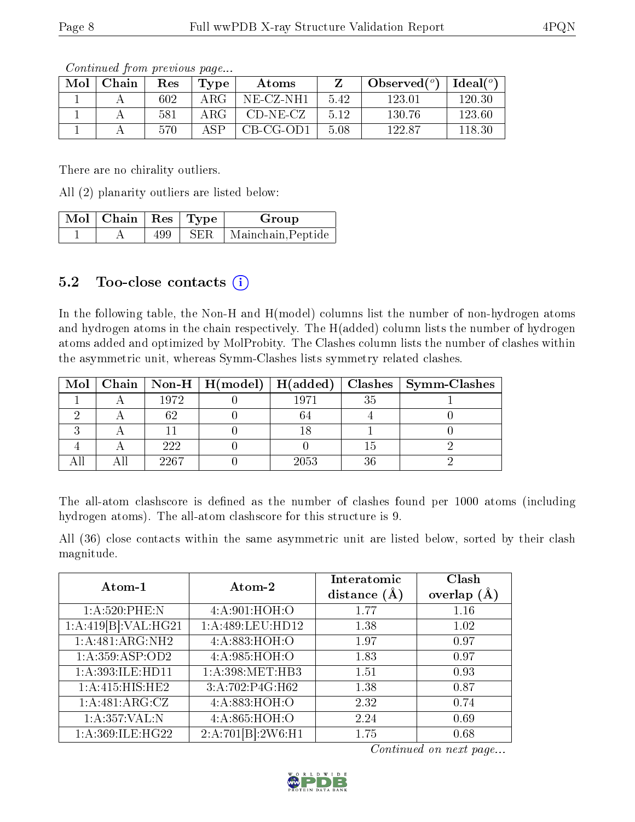| Mol | Chain | $\operatorname{Res}% \left( \mathcal{N}\right) \equiv\operatorname{Res}(\mathcal{N}_{0},\mathcal{N}_{0})$ | $\Gamma$ ype | Atoms       |      | Observed $(°)$ | $Ideal(^o)$ |
|-----|-------|-----------------------------------------------------------------------------------------------------------|--------------|-------------|------|----------------|-------------|
|     |       | 602                                                                                                       | ARG          | NE-CZ-NH1   | 5.42 | 123.01         | 120.30      |
|     |       | 581                                                                                                       | ARG          | $CD-NE- CZ$ | 5.12 | 130.76         | 123.60      |
|     |       | 570                                                                                                       | $\Delta$ SP  | $CB-CG-OD1$ | 5.08 | 122.87         | 118.30      |

Continued from previous page...

There are no chirality outliers.

All (2) planarity outliers are listed below:

| $\sqrt{\text{Mol}}$ Chain   Res   Type $\sqrt{\ }$ |     | Group                    |
|----------------------------------------------------|-----|--------------------------|
|                                                    | 499 | SER   Mainchain, Peptide |

### 5.2 Too-close contacts (i)

In the following table, the Non-H and H(model) columns list the number of non-hydrogen atoms and hydrogen atoms in the chain respectively. The H(added) column lists the number of hydrogen atoms added and optimized by MolProbity. The Clashes column lists the number of clashes within the asymmetric unit, whereas Symm-Clashes lists symmetry related clashes.

| Mol |      | $\mid$ Chain $\mid$ Non-H $\mid$ H(model) $\mid$ H(added) |      |    | Clashes   Symm-Clashes |
|-----|------|-----------------------------------------------------------|------|----|------------------------|
|     | 1972 |                                                           | 1971 | 35 |                        |
|     |      |                                                           |      |    |                        |
|     |      |                                                           |      |    |                        |
|     | 222  |                                                           |      |    |                        |
|     | 2267 |                                                           | 2053 | 36 |                        |

The all-atom clashscore is defined as the number of clashes found per 1000 atoms (including hydrogen atoms). The all-atom clashscore for this structure is 9.

All (36) close contacts within the same asymmetric unit are listed below, sorted by their clash magnitude.

| Atom-1              | Atom-2              | Interatomic<br>distance $(\AA)$ | Clash<br>overlap $(A)$ |
|---------------------|---------------------|---------------------------------|------------------------|
| 1: A:520: PHE: N    | 4: A:901: HOH:O     | 1.77                            | 1.16                   |
| 1:A:419[B]:VAL:HG21 | 1: A:489: LEU: HD12 | 1.38                            | 1.02                   |
| 1:A:481:ARG:NH2     | 4:A:883:HOH:O       | 1.97                            | 0.97                   |
| 1:A:359:ASP:OD2     | 4:A:985:HOH:O       | 1.83                            | 0.97                   |
| 1:A:393:ILE:HD11    | 1: A:398:MET:HB3    | 1.51                            | 0.93                   |
| 1:A:415:HIS:HE2     | 3:A:702:P4G:H62     | 1.38                            | 0.87                   |
| 1:A:481:ARG:CZ      | 4:A:883:HOH:O       | 2.32                            | 0.74                   |
| 1:A:357:VAL:N       | 4:A:865:HOH:O       | 2.24                            | 0.69                   |
| 1: A:369: ILE: HG22 | 2:A:701[B]:2W6:H1   | 1.75                            | 0.68                   |

Continued on next page...

![](_page_7_Picture_15.jpeg)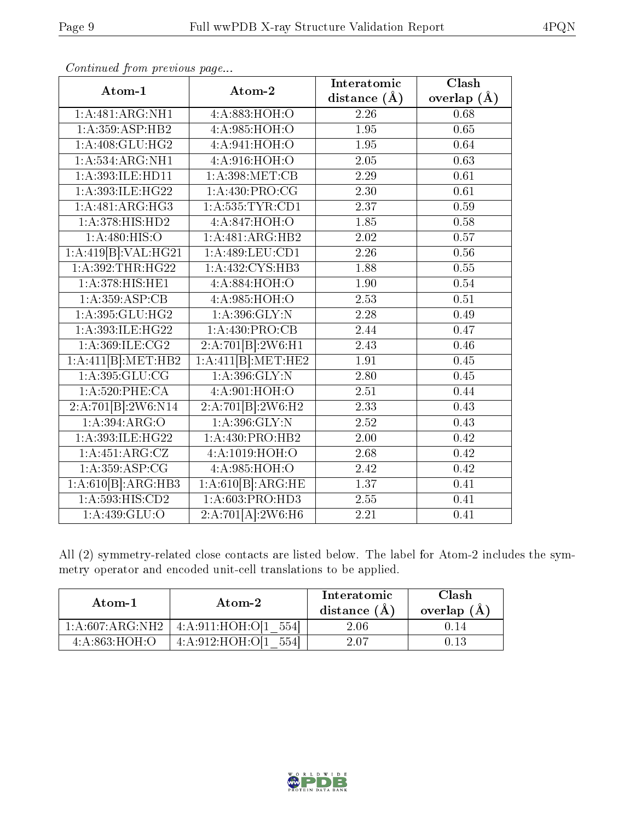| Atom-1                      | Atom-2              | Interatomic       | Clash             |
|-----------------------------|---------------------|-------------------|-------------------|
|                             |                     | distance $(A)$    | overlap $(\AA)$   |
| 1: A:481: ARG: NH1          | 4:A:883:HOH:O       | 2.26              | 0.68              |
| 1:A:359:ASP:HB2             | 4: A:985: HOH:O     | 1.95              | 0.65              |
| 1: A:408: GLU: HG2          | 4:A:941:HOH:O       | 1.95              | 0.64              |
| 1: A: 534: ARG: NH1         | 4:A:916:HOH:O       | 2.05              | 0.63              |
| 1:A:393:ILE:HD11            | 1: A:398:MET:CB     | 2.29              | 0.61              |
| 1:A:393:ILE:HG22            | 1: A: 430: PRO:CG   | 2.30              | 0.61              |
| 1:A:481:ARG:HG3             | 1: A: 535: TYR: CD1 | 2.37              | 0.59              |
| 1:A:378:HIS:HD2             | 4:A:847:HOH:O       | 1.85              | 0.58              |
| 1: A:480:HIS:O              | 1:A:481:ARG:HB2     | $\overline{2.02}$ | 0.57              |
| 1:A:419[B]:VAL:HG21         | 1: A:489: LEU: CD1  | 2.26              | 0.56              |
| 1:A:392:THR:HG22            | 1: A: 432: CYS: HB3 | 1.88              | 0.55              |
| 1: A:378:HIS:HE1            | 4:A.884:HOH:O       | 1.90              | 0.54              |
| 1: A: 359: ASP: CB          | 4:A:985:HOH:O       | 2.53              | 0.51              |
| 1: A:395: GLU: HG2          | 1: A:396: GLY:N     | $\overline{2.28}$ | 0.49              |
| 1:A:393:ILE:HG22            | 1: A:430: PRO:CB    | 2.44              | 0.47              |
| 1: A: 369: ILE: CG2         | 2:A:701[B]:2W6:H1   | 2.43              | 0.46              |
| 1:A:411[B]:MET:HB2          | 1:A:411[B]:MET:HE2  | 1.91              | 0.45              |
| $1:\overline{A:395:GLU:CG}$ | 1: A:396: GLY:N     | 2.80              | 0.45              |
| $1: A:520:$ PHE:CA          | 4: A:901: HOH:O     | 2.51              | 0.44              |
| 2:A:701[B]:2W6:N14          | 2:A:701[B]:2W6:H2   | 2.33              | 0.43              |
| 1: A:394: ARG:O             | 1: A:396: GLY:N     | $\overline{2.52}$ | 0.43              |
| 1:A:393:ILE:HG22            | 1: A: 430: PRO: HB2 | 2.00              | 0.42              |
| 1:A:451:ARG:CZ              | 4:A:1019:HOH:O      | 2.68              | $\overline{0.42}$ |
| 1: A: 359: ASP: CG          | 4:A:985:HOH:O       | 2.42              | 0.42              |
| 1:A:610[B]:ARG:HB3          | 1:A:610[B]:ARG:HE   | $\overline{1.37}$ | $\overline{0.41}$ |
| 1: A:593:HIS:CD2            | 1:A:603:PRO:HD3     | 2.55              | 0.41              |
| $1:A:439:GL\overline{U:O}$  | 2:A:701[A]:2W6:H6   | 2.21              | 0.41              |

Continued from previous page...

All (2) symmetry-related close contacts are listed below. The label for Atom-2 includes the symmetry operator and encoded unit-cell translations to be applied.

| Atom-1             | Atom-2                      | Interatomic<br>distance $(A)$ | Clash<br>overlap $(A)$ |
|--------------------|-----------------------------|-------------------------------|------------------------|
| 1: A:607: ARG: NH2 | 4:A:911:HOH:OI1<br>5541     | $2.06\,$                      |                        |
| 4: A:863:HOH:O     | 4: A:912: HOH: O[1]<br>5541 | 2.07                          |                        |

![](_page_8_Picture_6.jpeg)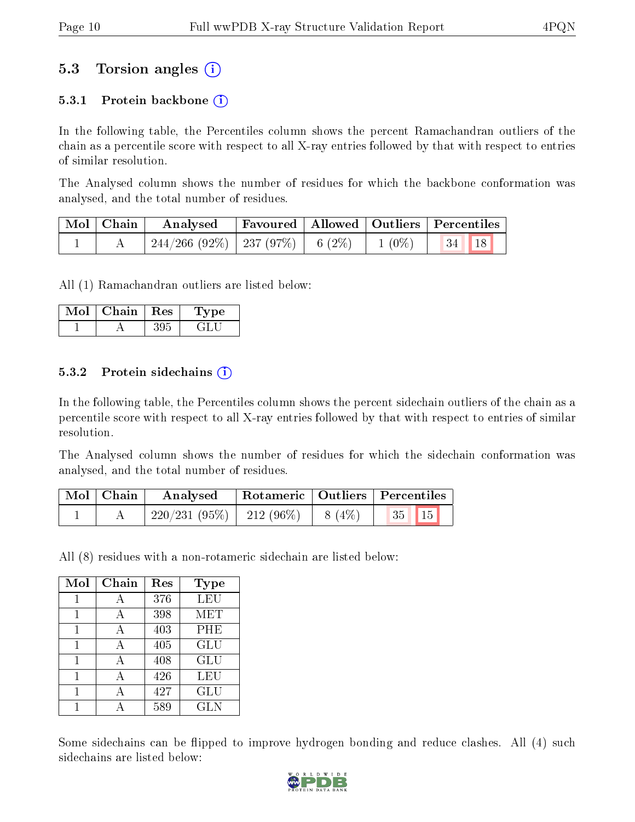### 5.3 Torsion angles (i)

#### 5.3.1 Protein backbone  $(i)$

In the following table, the Percentiles column shows the percent Ramachandran outliers of the chain as a percentile score with respect to all X-ray entries followed by that with respect to entries of similar resolution.

The Analysed column shows the number of residues for which the backbone conformation was analysed, and the total number of residues.

| $\mid$ Mol $\mid$ Chain $\mid$ | $\boldsymbol{\mathrm{Analysed}}$                             | Favoured   Allowed   Outliers   Percentiles |  |  |
|--------------------------------|--------------------------------------------------------------|---------------------------------------------|--|--|
|                                | $\mid$ 244/266 (92%)   237 (97%)   6 (2%)   1 (0%)   34   18 |                                             |  |  |

All (1) Ramachandran outliers are listed below:

| Mol | Chain. | Res | ъe |
|-----|--------|-----|----|
|     |        |     |    |

#### 5.3.2 Protein sidechains  $\left( \widehat{\mathbf{i}} \right)$

In the following table, the Percentiles column shows the percent sidechain outliers of the chain as a percentile score with respect to all X-ray entries followed by that with respect to entries of similar resolution.

The Analysed column shows the number of residues for which the sidechain conformation was analysed, and the total number of residues.

| Mol   Chain | Analysed                               |  | Rotameric   Outliers   Percentiles |
|-------------|----------------------------------------|--|------------------------------------|
|             | $220/231(95\%)$   212 (96\%)   8 (4\%) |  | $\vert 35 \vert \vert 15 \vert$    |

All (8) residues with a non-rotameric sidechain are listed below:

| Mol | ${\rm Chain}$ | Res | Type       |
|-----|---------------|-----|------------|
| 1   | А             | 376 | <b>LEU</b> |
| 1   | А             | 398 | MET        |
| 1   | А             | 403 | PHE        |
| 1   | А             | 405 | GLU        |
| 1   | А             | 408 | GLU        |
| 1   |               | 426 | LEU        |
| 1   |               | 427 | GLU        |
|     |               | 589 | <b>GLN</b> |

Some sidechains can be flipped to improve hydrogen bonding and reduce clashes. All (4) such sidechains are listed below:

![](_page_9_Picture_17.jpeg)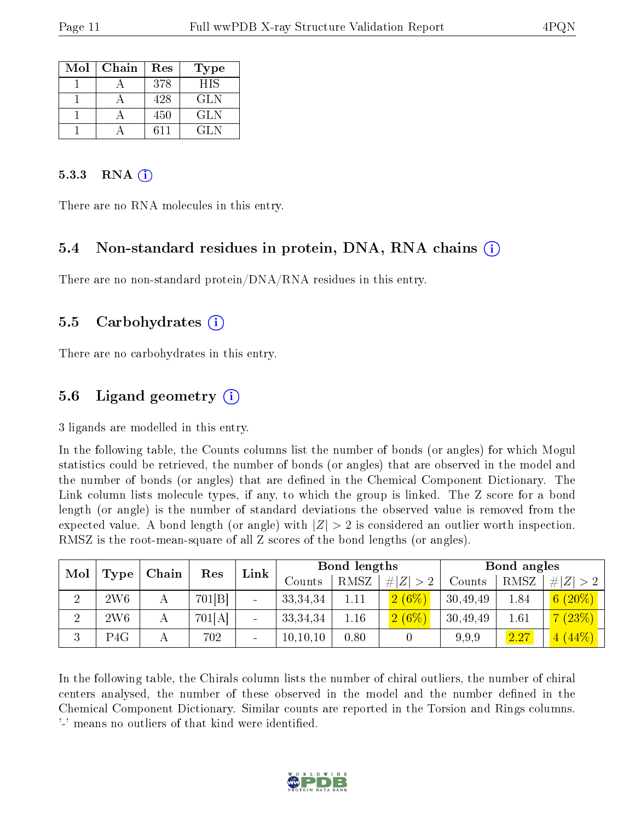| Mol | Chain | Res | Type       |
|-----|-------|-----|------------|
|     |       | 378 | <b>HIS</b> |
|     |       | 428 | GLN        |
|     |       | 450 | GLN        |
|     |       | 611 | GL N       |

#### 5.3.3 RNA  $(i)$

There are no RNA molecules in this entry.

#### 5.4 Non-standard residues in protein, DNA, RNA chains (i)

There are no non-standard protein/DNA/RNA residues in this entry.

#### 5.5 Carbohydrates (i)

There are no carbohydrates in this entry.

### 5.6 Ligand geometry (i)

3 ligands are modelled in this entry.

In the following table, the Counts columns list the number of bonds (or angles) for which Mogul statistics could be retrieved, the number of bonds (or angles) that are observed in the model and the number of bonds (or angles) that are defined in the Chemical Component Dictionary. The Link column lists molecule types, if any, to which the group is linked. The Z score for a bond length (or angle) is the number of standard deviations the observed value is removed from the expected value. A bond length (or angle) with  $|Z| > 2$  is considered an outlier worth inspection. RMSZ is the root-mean-square of all Z scores of the bond lengths (or angles).

| Mol    | Chain           |  | Link<br>Res | <b>Bond lengths</b> |            |      | Bond angles  |          |      |             |
|--------|-----------------|--|-------------|---------------------|------------|------|--------------|----------|------|-------------|
|        | Type            |  |             |                     | Jounts     | RMSZ | Z  > 2<br>#! | Counts   | RMSZ | # $ Z  > 2$ |
| ച      | 2W6             |  | 701 B       |                     | 33, 34, 34 |      | 2(6%)        | 30,49,49 | 1.84 | $6(20\%)$   |
| റ<br>∠ | 2W <sub>6</sub> |  | 701[A]      | $\blacksquare$      | 33, 34, 34 | 1.16 | $2(6\%)$     | 30,49,49 | 1.61 | 7(23%)      |
| 3      | P4G             |  | 702         |                     | 10, 10, 10 | 0.80 |              | 9.9.9    | 2.27 | 4(44%)      |

In the following table, the Chirals column lists the number of chiral outliers, the number of chiral centers analysed, the number of these observed in the model and the number defined in the Chemical Component Dictionary. Similar counts are reported in the Torsion and Rings columns. '-' means no outliers of that kind were identified.

![](_page_10_Picture_15.jpeg)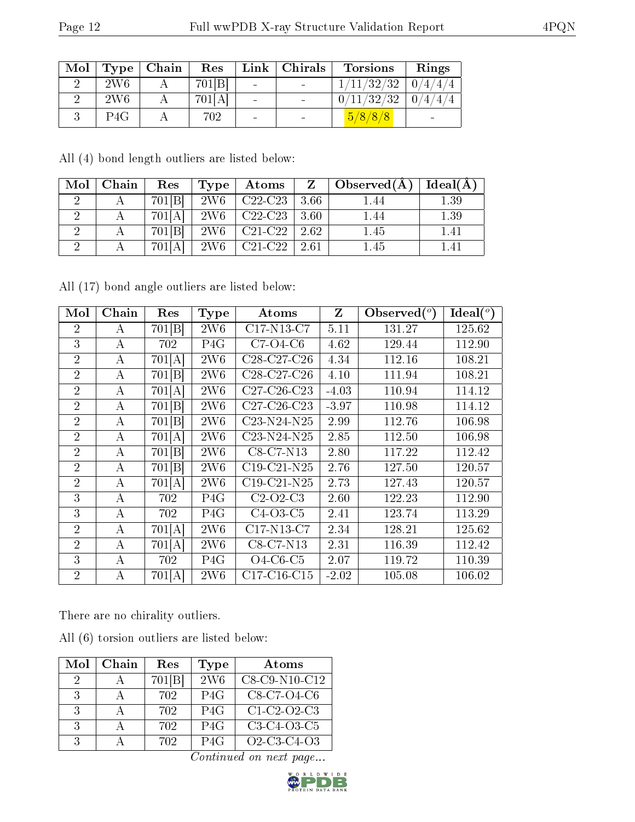| Mol |                 | Type   Chain | Res    |                 | Link   Christmas | Torsions                 | Rings |
|-----|-----------------|--------------|--------|-----------------|------------------|--------------------------|-------|
|     | 2W <sub>6</sub> |              | 701[B] | $\sim$          |                  | $1/11/32/32$   $0/4/4/4$ |       |
|     | 2W <sub>6</sub> |              | 701[A] | $\blacksquare$  |                  | $0/11/32/32$   $0/4/4/4$ |       |
|     | P4G             |              | 702    | $\qquad \qquad$ |                  | 5/8/8/8                  |       |

All (4) bond length outliers are listed below:

| Mol | Chain | Res    | Type            | Atoms     | Z    | Observed $(A)$ | Ideal(A) |
|-----|-------|--------|-----------------|-----------|------|----------------|----------|
|     |       | 701[B] | <b>2W6</b>      | $C22-C23$ | 3.66 | 1.44           | 1.39     |
|     |       | 701[A] | <b>2W6</b>      | $C22-C23$ | 3.60 | 1.44           | 1.39     |
|     |       | 701[B] | 2W <sub>6</sub> | $C21-C22$ | 2.62 | 1.45           | 1.41     |
|     |       | 701[A] | 2W <sub>6</sub> | $C21-C22$ | 2.61 | 1.45           | 1.41     |

All (17) bond angle outliers are listed below:

| Mol            | Chain            | Res                | Type             | Atoms                                             | $\mathbf{Z}$ | Observed $(^\circ)$ | $Ideal(^o)$ |
|----------------|------------------|--------------------|------------------|---------------------------------------------------|--------------|---------------------|-------------|
| 2              | А                | 701 <sup>[B]</sup> | 2W6              | $C17-N13-C7$                                      | 5.11         | 131.27              | 125.62      |
| 3              | А                | 702                | P <sub>4</sub> G | $C7-O4-C6$                                        | 4.62         | 129.44              | 112.90      |
| $\overline{2}$ | А                | 701[A]             | 2W6              | C28-C27-C26                                       | 4.34         | 112.16              | 108.21      |
| $\overline{2}$ | А                | 701[B]             | 2W <sub>6</sub>  | C <sub>28</sub> -C <sub>27</sub> -C <sub>26</sub> | 4.10         | 111.94              | 108.21      |
| $\overline{2}$ | А                | 701[A]             | 2W6              | $C27-C26-C23$                                     | $-4.03$      | 110.94              | 114.12      |
| $\overline{2}$ | А                | 701[B]             | 2W6              | $C27-C26-C23$                                     | $-3.97$      | 110.98              | 114.12      |
| $\overline{2}$ | А                | 701[B]             | 2W6              | $C23-N24-N25$                                     | 2.99         | 112.76              | 106.98      |
| $\overline{2}$ | А                | 701[A]             | 2W6              | $C23-N24-N25$                                     | 2.85         | 112.50              | 106.98      |
| $\overline{2}$ | $\bf{A}$         | 701[B]             | 2W6              | C8-C7-N13                                         | 2.80         | 117.22              | 112.42      |
| $\overline{2}$ | A                | 701[B]             | 2W6              | $C19-C21-N25$                                     | 2.76         | 127.50              | 120.57      |
| $\overline{2}$ | A                | 701[A]             | 2W6              | $C19-C21-N25$                                     | 2.73         | 127.43              | 120.57      |
| 3              | A                | 702                | P <sub>4</sub> G | $C2-O2-C3$                                        | 2.60         | 122.23              | 112.90      |
| 3              | А                | 702                | P <sub>4</sub> G | $C4-O3-C5$                                        | 2.41         | 123.74              | 113.29      |
| $\overline{2}$ | $\boldsymbol{A}$ | 701[A]             | 2W6              | $C17-N13-C7$                                      | 2.34         | 128.21              | 125.62      |
| $\overline{2}$ | A                | 701[A]             | 2W6              | $C8-C7-N13$                                       | 2.31         | 116.39              | 112.42      |
| 3              | A                | 702                | P <sub>4</sub> G | $O4-C6-C5$                                        | 2.07         | 119.72              | 110.39      |
| $\overline{2}$ | A                | 701[A]             | 2W6              | $C17-C16-C15$                                     | $-2.02$      | 105.08              | 106.02      |

There are no chirality outliers.

All (6) torsion outliers are listed below:

| Mol           | Chain | Res    | <b>Type</b>     | Atoms                                                |
|---------------|-------|--------|-----------------|------------------------------------------------------|
| $\cdot$       |       | 701[B] | 2W <sub>6</sub> | C8-C9-N10-C12                                        |
| -3-           |       | 702    | P4G             | C8-C7-O4-C6                                          |
| 3             |       | 702    | P4G             | $C1-C2-O2-C3$                                        |
| $\mathcal{R}$ |       | 702    | P4G             | C3-C4-O3-C5                                          |
| 3             |       | 702    | P4G             | $O2$ -C <sub>3</sub> -C <sub>4</sub> -O <sub>3</sub> |

Continued on next page...

![](_page_11_Picture_12.jpeg)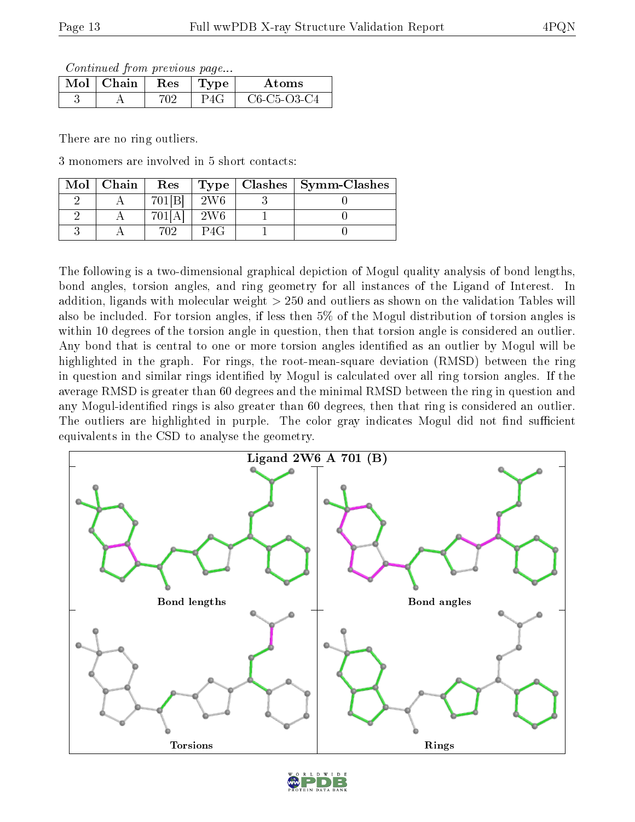Continued from previous page...

| Mol | Chain | <b>Res</b> | 'vpe | Atoms                                                          |
|-----|-------|------------|------|----------------------------------------------------------------|
|     |       | 70 C       |      | C <sub>6</sub> -C <sub>5</sub> -O <sub>3</sub> -C <sub>4</sub> |

There are no ring outliers.

3 monomers are involved in 5 short contacts:

| Mol | Chain | Res                | <b>Type</b> | Clashes $\vert$ Symm-Clashes |
|-----|-------|--------------------|-------------|------------------------------|
|     |       | $701$ <sup>B</sup> | 2W6         |                              |
|     |       |                    | 2W6         |                              |
|     |       |                    |             |                              |

The following is a two-dimensional graphical depiction of Mogul quality analysis of bond lengths, bond angles, torsion angles, and ring geometry for all instances of the Ligand of Interest. In addition, ligands with molecular weight > 250 and outliers as shown on the validation Tables will also be included. For torsion angles, if less then 5% of the Mogul distribution of torsion angles is within 10 degrees of the torsion angle in question, then that torsion angle is considered an outlier. Any bond that is central to one or more torsion angles identified as an outlier by Mogul will be highlighted in the graph. For rings, the root-mean-square deviation (RMSD) between the ring in question and similar rings identified by Mogul is calculated over all ring torsion angles. If the average RMSD is greater than 60 degrees and the minimal RMSD between the ring in question and any Mogul-identified rings is also greater than 60 degrees, then that ring is considered an outlier. The outliers are highlighted in purple. The color gray indicates Mogul did not find sufficient equivalents in the CSD to analyse the geometry.

![](_page_12_Figure_9.jpeg)

![](_page_12_Picture_10.jpeg)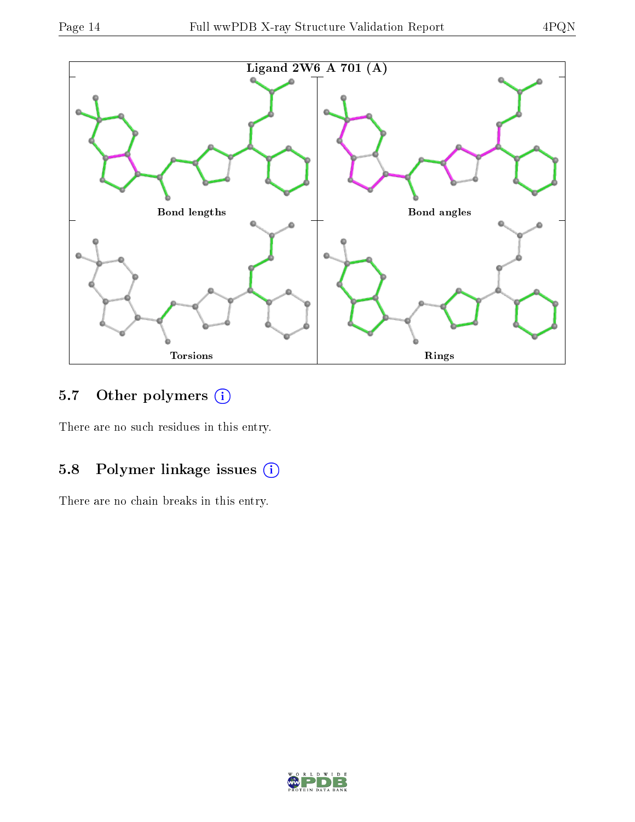![](_page_13_Figure_3.jpeg)

## 5.7 [O](https://www.wwpdb.org/validation/2017/XrayValidationReportHelp#nonstandard_residues_and_ligands)ther polymers (i)

There are no such residues in this entry.

### 5.8 Polymer linkage issues (i)

There are no chain breaks in this entry.

![](_page_13_Picture_8.jpeg)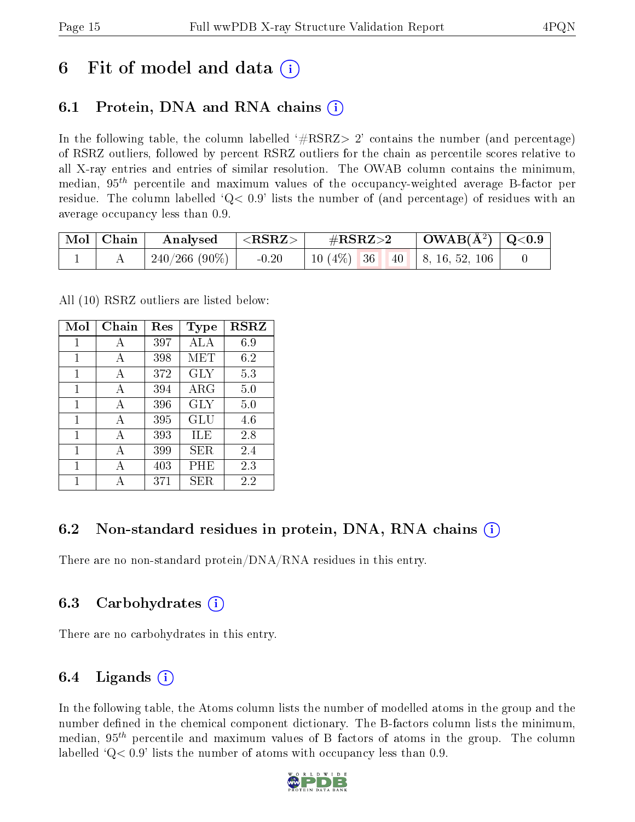## 6 Fit of model and data  $\left( \cdot \right)$

## 6.1 Protein, DNA and RNA chains (i)

In the following table, the column labelled  $#RSRZ>2'$  contains the number (and percentage) of RSRZ outliers, followed by percent RSRZ outliers for the chain as percentile scores relative to all X-ray entries and entries of similar resolution. The OWAB column contains the minimum, median,  $95<sup>th</sup>$  percentile and maximum values of the occupancy-weighted average B-factor per residue. The column labelled  $Q< 0.9$  lists the number of (and percentage) of residues with an average occupancy less than 0.9.

| $\mid$ Mol $\mid$ Chain | $\rm{Analysed}$ $\vert <$ RSRZ $>$ |         | $\#\text{RSRZ}\text{>2}$              | $\vert$ OWAB(Å <sup>2</sup> ) $\vert$ Q<0.9 |  |
|-------------------------|------------------------------------|---------|---------------------------------------|---------------------------------------------|--|
|                         | $\mid$ 240/266 (90%) $\mid$        | $-0.20$ | 10 $(4\%)$   36   40   8, 16, 52, 106 |                                             |  |

All (10) RSRZ outliers are listed below:

| Mol          | Chain | Res | Type       | <b>RSRZ</b> |
|--------------|-------|-----|------------|-------------|
| 1            | А     | 397 | ALA        | 6.9         |
| $\mathbf{1}$ | A     | 398 | MET        | 6.2         |
| 1            | A     | 372 | <b>GLY</b> | 5.3         |
| 1            | A     | 394 | $\rm{ARG}$ | 5.0         |
| 1            | А     | 396 | <b>GLY</b> | 5.0         |
| 1            | A     | 395 | GLU        | 4.6         |
| $\mathbf{1}$ | A     | 393 | ILE        | 2.8         |
| 1            | A     | 399 | SER.       | 2.4         |
| 1            | А     | 403 | PHE        | 2.3         |
| 1            |       | 371 | <b>SER</b> | 2.2         |

### 6.2 Non-standard residues in protein, DNA, RNA chains (i)

There are no non-standard protein/DNA/RNA residues in this entry.

### 6.3 Carbohydrates (i)

There are no carbohydrates in this entry.

### 6.4 Ligands  $(i)$

In the following table, the Atoms column lists the number of modelled atoms in the group and the number defined in the chemical component dictionary. The B-factors column lists the minimum, median,  $95<sup>th</sup>$  percentile and maximum values of B factors of atoms in the group. The column labelled  $Q< 0.9$ ' lists the number of atoms with occupancy less than 0.9.

![](_page_14_Picture_15.jpeg)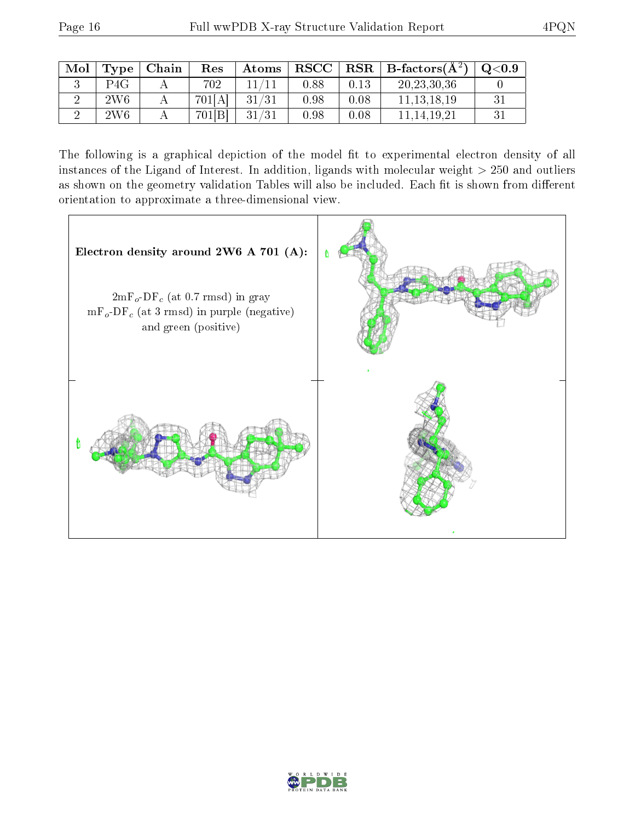| Mol | Type | Chain | Res    | Atoms | $_{\rm RSCC}$ |      | $\mid$ $\text{RSR} \mid \text{B-factors}(\text{\AA}^2) \mid$ | $\rm Q\textcolor{black}{<}0.9$ |
|-----|------|-------|--------|-------|---------------|------|--------------------------------------------------------------|--------------------------------|
|     | P4G  |       | 702    |       | 0.88          | 0.13 | 20, 23, 30, 36                                               |                                |
|     | 2W6  |       | 701[A] | 31/31 | 0.98          | 0.08 | 11.13.18.19                                                  |                                |
|     | 2W6  |       | 701[B] | 31/31 | 0.98          | 0.08 | 11.14.19.21                                                  |                                |

The following is a graphical depiction of the model fit to experimental electron density of all instances of the Ligand of Interest. In addition, ligands with molecular weight  $> 250$  and outliers as shown on the geometry validation Tables will also be included. Each fit is shown from different orientation to approximate a three-dimensional view.

![](_page_15_Figure_5.jpeg)

![](_page_15_Picture_6.jpeg)